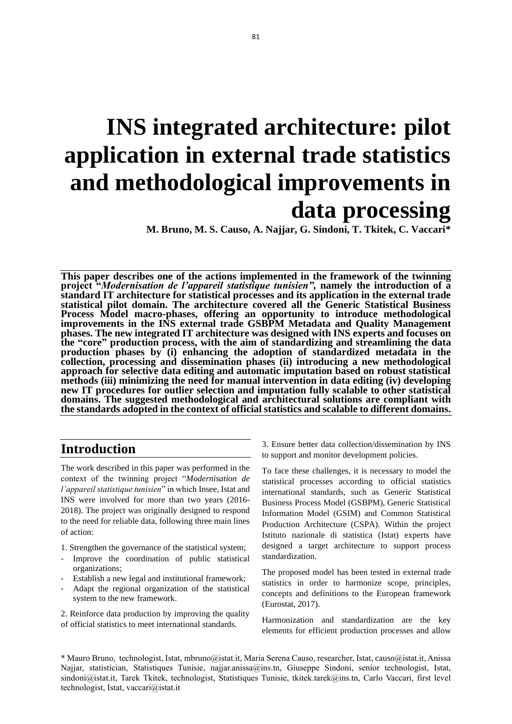# **INS integrated architecture: pilot application in external trade statistics and methodological improvements in data processing**

**M. Bruno, M. S. Causo, A. Najjar, G. Sindoni, T. Tkitek, C. Vaccari\***

**This paper describes one of the actions implemented in the framework of the twinning project "***Modernisation de l'appareil statistique tunisien",* **namely the introduction of a standard IT architecture for statistical processes and its application in the external trade statistical pilot domain. The architecture covered all the Generic Statistical Business Process Model macro-phases, offering an opportunity to introduce methodological improvements in the INS external trade GSBPM Metadata and Quality Management phases. The new integrated IT architecture was designed with INS experts and focuses on the "core" production process, with the aim of standardizing and streamlining the data production phases by (i) enhancing the adoption of standardized metadata in the collection, processing and dissemination phases (ii) introducing a new methodological approach for selective data editing and automatic imputation based on robust statistical methods (iii) minimizing the need for manual intervention in data editing (iv) developing new IT procedures for outlier selection and imputation fully scalable to other statistical domains. The suggested methodological and architectural solutions are compliant with the standards adopted in the context of official statistics and scalable to different domains.** 

# **Introduction**

The work described in this paper was performed in the context of the twinning project "*Modernisation de l'appareil statistique tunisien*" in which Insee, Istat and INS were involved for more than two years (2016- 2018). The project was originally designed to respond to the need for reliable data, following three main lines of action:

- 1. Strengthen the governance of the statistical system;
- Improve the coordination of public statistical organizations;
- Establish a new legal and institutional framework;
- Adapt the regional organization of the statistical system to the new framework.

2. Reinforce data production by improving the quality of official statistics to meet international standards.

3. Ensure better data collection/dissemination by INS to support and monitor development policies.

To face these challenges, it is necessary to model the statistical processes according to official statistics international standards, such as Generic Statistical Business Process Model (GSBPM), Generic Statistical Information Model (GSIM) and Common Statistical Production Architecture (CSPA). Within the project Istituto nazionale di statistica (Istat) experts have designed a target architecture to support process standardization.

The proposed model has been tested in external trade statistics in order to harmonize scope, principles, concepts and definitions to the European framework (Eurostat, 2017).

Harmonization and standardization are the key elements for efficient production processes and allow

\* Mauro Bruno, technologist, Istat, [mbruno@istat.it,](mailto:mbruno@istat.it) Maria Serena Causo, researcher, Istat[, causo@istat.it,](mailto:causo@istat.it) Anissa Najjar, statistician, Statistiques Tunisie, [najjar.anissa@i](mailto:najjar.anissa@)ns.tn, Giuseppe Sindoni, senior technologist, Istat, [sindoni@istat.it,](mailto:sindoni@istat.it) Tarek Tkitek, technologist, Statistiques Tunisie, tkitek.tarek@ins.tn, Carlo Vaccari, first level technologist, Istat, vaccari@istat.it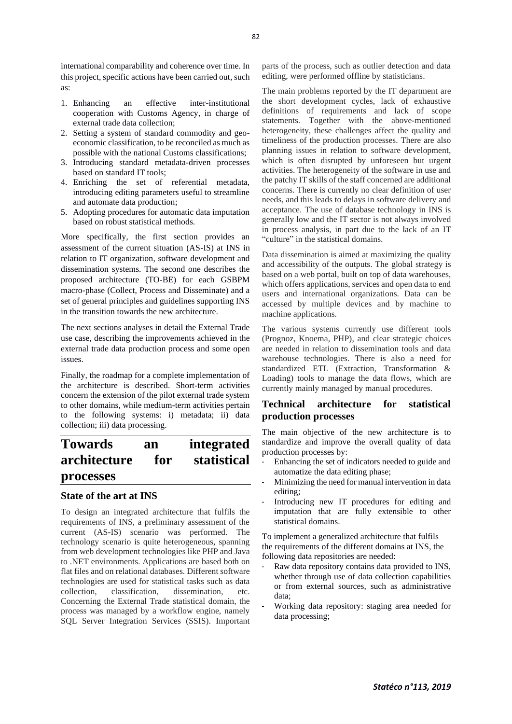international comparability and coherence over time. In this project, specific actions have been carried out, such as:

- 1. Enhancing an effective inter-institutional cooperation with Customs Agency, in charge of external trade data collection;
- 2. Setting a system of standard commodity and geoeconomic classification, to be reconciled as much as possible with the national Customs classifications;
- 3. Introducing standard metadata-driven processes based on standard IT tools;
- 4. Enriching the set of referential metadata, introducing editing parameters useful to streamline and automate data production;
- 5. Adopting procedures for automatic data imputation based on robust statistical methods.

More specifically, the first section provides an assessment of the current situation (AS-IS) at INS in relation to IT organization, software development and dissemination systems. The second one describes the proposed architecture (TO-BE) for each GSBPM macro-phase (Collect, Process and Disseminate) and a set of general principles and guidelines supporting INS in the transition towards the new architecture.

The next sections analyses in detail the External Trade use case, describing the improvements achieved in the external trade data production process and some open issues.

Finally, the roadmap for a complete implementation of the architecture is described. Short-term activities concern the extension of the pilot external trade system to other domains, while medium-term activities pertain to the following systems: i) metadata; ii) data collection; iii) data processing.

# **Towards an integrated architecture for statistical processes**

# **State of the art at INS**

To design an integrated architecture that fulfils the requirements of INS, a preliminary assessment of the current (AS-IS) scenario was performed. The technology scenario is quite heterogeneous, spanning from web development technologies like PHP and Java to .NET environments. Applications are based both on flat files and on relational databases. Different software technologies are used for statistical tasks such as data collection, classification, dissemination, etc. Concerning the External Trade statistical domain, the process was managed by a workflow engine, namely SQL Server Integration Services (SSIS). Important

parts of the process, such as outlier detection and data editing, were performed offline by statisticians.

The main problems reported by the IT department are the short development cycles, lack of exhaustive definitions of requirements and lack of scope statements. Together with the above-mentioned heterogeneity, these challenges affect the quality and timeliness of the production processes. There are also planning issues in relation to software development, which is often disrupted by unforeseen but urgent activities. The heterogeneity of the software in use and the patchy IT skills of the staff concerned are additional concerns. There is currently no clear definition of user needs, and this leads to delays in software delivery and acceptance. The use of database technology in INS is generally low and the IT sector is not always involved in process analysis, in part due to the lack of an IT "culture" in the statistical domains.

Data dissemination is aimed at maximizing the quality and accessibility of the outputs. The global strategy is based on a web portal, built on top of data warehouses, which offers applications, services and open data to end users and international organizations. Data can be accessed by multiple devices and by machine to machine applications.

The various systems currently use different tools (Prognoz, Knoema, PHP), and clear strategic choices are needed in relation to dissemination tools and data warehouse technologies. There is also a need for standardized ETL (Extraction, Transformation & Loading) tools to manage the data flows, which are currently mainly managed by manual procedures.

# **Technical architecture for statistical production processes**

The main objective of the new architecture is to standardize and improve the overall quality of data production processes by:

- Enhancing the set of indicators needed to guide and automatize the data editing phase;
- Minimizing the need for manual intervention in data editing;
- Introducing new IT procedures for editing and imputation that are fully extensible to other statistical domains.

To implement a generalized architecture that fulfils the requirements of the different domains at INS, the following data repositories are needed:

- Raw data repository contains data provided to INS, whether through use of data collection capabilities or from external sources, such as administrative data;
- Working data repository: staging area needed for data processing;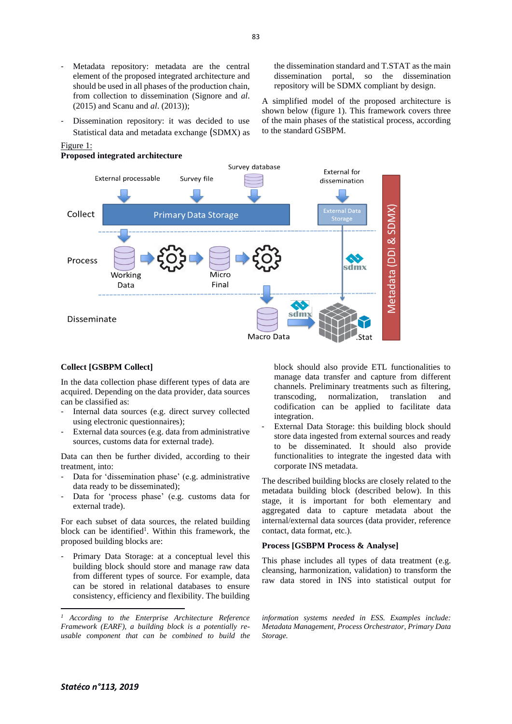- Metadata repository: metadata are the central element of the proposed integrated architecture and should be used in all phases of the production chain, from collection to dissemination (Signore and *al*. (2015) and Scanu and *al*. (2013));
- Dissemination repository: it was decided to use Statistical data and metadata exchange (SDMX) as

#### Figure 1:

#### **Proposed integrated architecture**

the dissemination standard and T.STAT as the main dissemination portal, so the dissemination repository will be SDMX compliant by design.

A simplified model of the proposed architecture is shown below (figure 1). This framework covers three of the main phases of the statistical process, according to the standard GSBPM.



#### **Collect [GSBPM Collect]**

In the data collection phase different types of data are acquired. Depending on the data provider, data sources can be classified as:

- Internal data sources (e.g. direct survey collected using electronic questionnaires);
- External data sources (e.g. data from administrative sources, customs data for external trade).

Data can then be further divided, according to their treatment, into:

- Data for 'dissemination phase' (e.g. administrative data ready to be disseminated);
- Data for 'process phase' (e.g. customs data for external trade).

For each subset of data sources, the related building block can be identified<sup>1</sup>. Within this framework, the proposed building blocks are:

Primary Data Storage: at a conceptual level this building block should store and manage raw data from different types of source. For example, data can be stored in relational databases to ensure consistency, efficiency and flexibility. The building

block should also provide ETL functionalities to manage data transfer and capture from different channels. Preliminary treatments such as filtering, transcoding, normalization, translation and codification can be applied to facilitate data integration.

External Data Storage: this building block should store data ingested from external sources and ready to be disseminated. It should also provide functionalities to integrate the ingested data with corporate INS metadata.

The described building blocks are closely related to the metadata building block (described below). In this stage, it is important for both elementary and aggregated data to capture metadata about the internal/external data sources (data provider, reference contact, data format, etc.).

#### **Process [GSBPM Process & Analyse]**

This phase includes all types of data treatment (e.g. cleansing, harmonization, validation) to transform the raw data stored in INS into statistical output for

*information systems needed in ESS. Examples include: Metadata Management, Process Orchestrator, Primary Data Storage.*

83

*<sup>1</sup> According to the Enterprise Architecture Reference Framework (EARF), a building block is a potentially reusable component that can be combined to build the*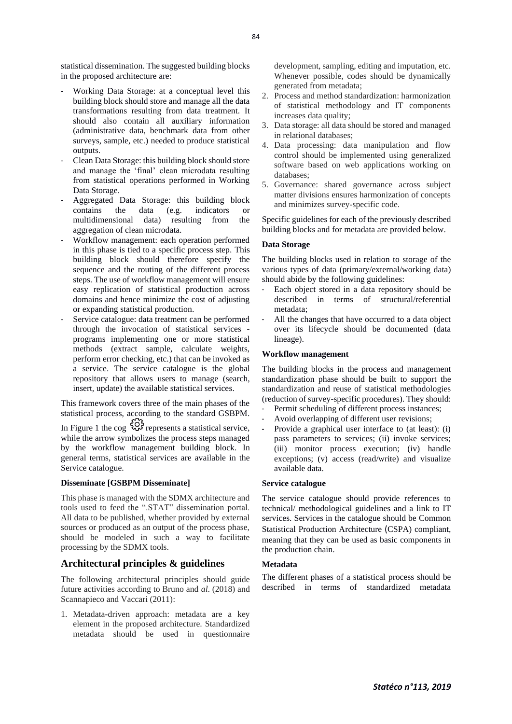statistical dissemination. The suggested building blocks in the proposed architecture are:

- Working Data Storage: at a conceptual level this building block should store and manage all the data transformations resulting from data treatment. It should also contain all auxiliary information (administrative data, benchmark data from other surveys, sample, etc.) needed to produce statistical outputs.
- Clean Data Storage: this building block should store and manage the 'final' clean microdata resulting from statistical operations performed in Working Data Storage.
- Aggregated Data Storage: this building block contains the data (e.g. indicators or multidimensional data) resulting from the aggregation of clean microdata.
- Workflow management: each operation performed in this phase is tied to a specific process step. This building block should therefore specify the sequence and the routing of the different process steps. The use of workflow management will ensure easy replication of statistical production across domains and hence minimize the cost of adjusting or expanding statistical production.
- Service catalogue: data treatment can be performed through the invocation of statistical services programs implementing one or more statistical methods (extract sample, calculate weights, perform error checking, etc.) that can be invoked as a service. The service catalogue is the global repository that allows users to manage (search, insert, update) the available statistical services.

This framework covers three of the main phases of the statistical process, according to the standard GSBPM.

In Figure 1 the cog  $\overset{\circ}{\leftrightarrow}$  represents a statistical service, while the arrow symbolizes the process steps managed by the workflow management building block. In general terms, statistical services are available in the Service catalogue.

#### **Disseminate [GSBPM Disseminate]**

This phase is managed with the SDMX architecture and tools used to feed the ".STAT" dissemination portal. All data to be published, whether provided by external sources or produced as an output of the process phase, should be modeled in such a way to facilitate processing by the SDMX tools.

### **Architectural principles & guidelines**

The following architectural principles should guide future activities according to Bruno and *al*. (2018) and Scannapieco and Vaccari (2011):

1. Metadata-driven approach: metadata are a key element in the proposed architecture. Standardized metadata should be used in questionnaire

development, sampling, editing and imputation, etc. Whenever possible, codes should be dynamically generated from metadata;

- 2. Process and method standardization: harmonization of statistical methodology and IT components increases data quality;
- 3. Data storage: all data should be stored and managed in relational databases;
- 4. Data processing: data manipulation and flow control should be implemented using generalized software based on web applications working on databases;
- 5. Governance: shared governance across subject matter divisions ensures harmonization of concepts and minimizes survey-specific code.

Specific guidelines for each of the previously described building blocks and for metadata are provided below.

#### **Data Storage**

The building blocks used in relation to storage of the various types of data (primary/external/working data) should abide by the following guidelines:

- Each object stored in a data repository should be described in terms of structural/referential metadata;
- All the changes that have occurred to a data object over its lifecycle should be documented (data lineage).

#### **Workflow management**

The building blocks in the process and management standardization phase should be built to support the standardization and reuse of statistical methodologies (reduction of survey-specific procedures). They should:

- Permit scheduling of different process instances;
- Avoid overlapping of different user revisions;
- Provide a graphical user interface to (at least): (i) pass parameters to services; (ii) invoke services; (iii) monitor process execution; (iv) handle exceptions; (v) access (read/write) and visualize available data.

#### **Service catalogue**

The service catalogue should provide references to technical/ methodological guidelines and a link to IT services. Services in the catalogue should be Common Statistical Production Architecture (CSPA) compliant, meaning that they can be used as basic components in the production chain.

#### **Metadata**

The different phases of a statistical process should be described in terms of standardized metadata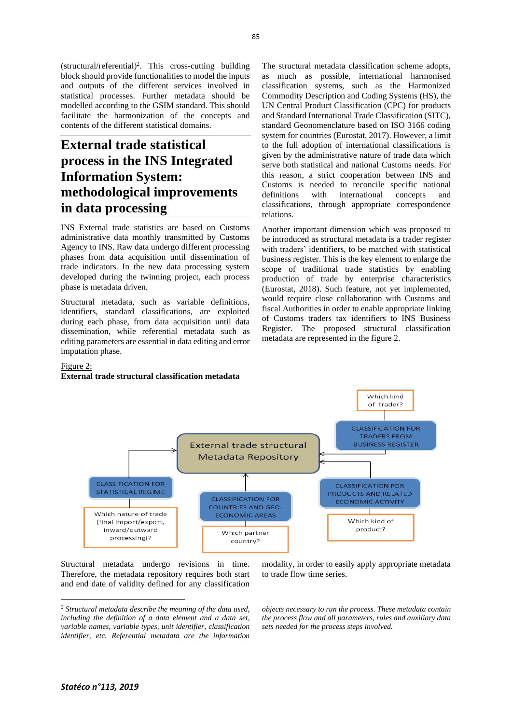(structural/referential)<sup>2</sup> . This cross-cutting building block should provide functionalities to model the inputs and outputs of the different services involved in statistical processes. Further metadata should be modelled according to the GSIM standard. This should facilitate the harmonization of the concepts and contents of the different statistical domains.

# **External trade statistical process in the INS Integrated Information System: methodological improvements in data processing**

INS External trade statistics are based on Customs administrative data monthly transmitted by Customs Agency to INS. Raw data undergo different processing phases from data acquisition until dissemination of trade indicators. In the new data processing system developed during the twinning project, each process phase is metadata driven.

Structural metadata, such as variable definitions, identifiers, standard classifications, are exploited during each phase, from data acquisition until data dissemination, while referential metadata such as editing parameters are essential in data editing and error imputation phase.

The structural metadata classification scheme adopts, as much as possible, international harmonised classification systems, such as the Harmonized Commodity Description and Coding Systems (HS), the UN Central Product Classification (CPC) for products and Standard International Trade Classification (SITC), standard Geonomenclature based on ISO 3166 coding system for countries (Eurostat, 2017). However, a limit to the full adoption of international classifications is given by the administrative nature of trade data which serve both statistical and national Customs needs. For this reason, a strict cooperation between INS and Customs is needed to reconcile specific national definitions with international concepts and classifications, through appropriate correspondence relations.

Another important dimension which was proposed to be introduced as structural metadata is a trader register with traders' identifiers, to be matched with statistical business register. This is the key element to enlarge the scope of traditional trade statistics by enabling production of trade by enterprise characteristics (Eurostat, 2018). Such feature, not yet implemented, would require close collaboration with Customs and fiscal Authorities in order to enable appropriate linking of Customs traders tax identifiers to INS Business Register. The proposed structural classification metadata are represented in the figure 2.

#### Figure 2:

#### **External trade structural classification metadata**



Structural metadata undergo revisions in time. Therefore, the metadata repository requires both start and end date of validity defined for any classification

modality, in order to easily apply appropriate metadata to trade flow time series.

*objects necessary to run the process. These metadata contain the process flow and all parameters, rules and auxiliary data sets needed for the process steps involved.*

*<sup>2</sup> Structural metadata describe the meaning of the data used, including the definition of a data element and a data set, variable names, variable types, unit identifier, classification identifier, etc. Referential metadata are the information*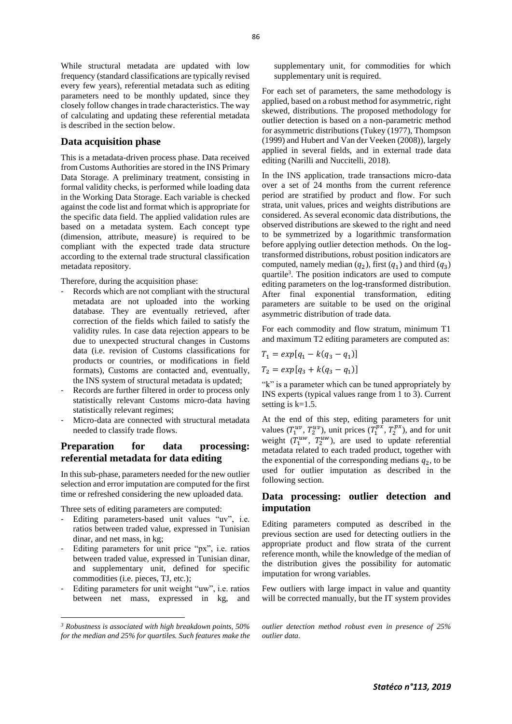While structural metadata are updated with low frequency (standard classifications are typically revised every few years), referential metadata such as editing parameters need to be monthly updated, since they closely follow changes in trade characteristics. The way of calculating and updating these referential metadata is described in the section below.

#### **Data acquisition phase**

This is a metadata-driven process phase. Data received from Customs Authorities are stored in the INS Primary Data Storage. A preliminary treatment, consisting in formal validity checks, is performed while loading data in the Working Data Storage. Each variable is checked against the code list and format which is appropriate for the specific data field. The applied validation rules are based on a metadata system. Each concept type (dimension, attribute, measure) is required to be compliant with the expected trade data structure according to the external trade structural classification metadata repository.

Therefore, during the acquisition phase:

- Records which are not compliant with the structural metadata are not uploaded into the working database. They are eventually retrieved, after correction of the fields which failed to satisfy the validity rules. In case data rejection appears to be due to unexpected structural changes in Customs data (i.e. revision of Customs classifications for products or countries, or modifications in field formats), Customs are contacted and, eventually, the INS system of structural metadata is updated;
- Records are further filtered in order to process only statistically relevant Customs micro-data having statistically relevant regimes;
- Micro-data are connected with structural metadata needed to classify trade flows.

# **Preparation for data processing: referential metadata for data editing**

In this sub-phase, parameters needed for the new outlier selection and error imputation are computed for the first time or refreshed considering the new uploaded data.

Three sets of editing parameters are computed:

- Editing parameters-based unit values "uv", i.e. ratios between traded value, expressed in Tunisian dinar, and net mass, in kg;
- Editing parameters for unit price "px", i.e. ratios between traded value, expressed in Tunisian dinar, and supplementary unit, defined for specific commodities (i.e. pieces, TJ, etc.);
- Editing parameters for unit weight "uw", i.e. ratios between net mass, expressed in kg, and

supplementary unit, for commodities for which supplementary unit is required.

For each set of parameters, the same methodology is applied, based on a robust method for asymmetric, right skewed, distributions. The proposed methodology for outlier detection is based on a non-parametric method for asymmetric distributions (Tukey (1977), Thompson (1999) and Hubert and Van der Veeken (2008)), largely applied in several fields, and in external trade data editing (Narilli and Nuccitelli, 2018).

In the INS application, trade transactions micro-data over a set of 24 months from the current reference period are stratified by product and flow. For such strata, unit values, prices and weights distributions are considered. As several economic data distributions, the observed distributions are skewed to the right and need to be symmetrized by a logarithmic transformation before applying outlier detection methods. On the logtransformed distributions, robust position indicators are computed, namely median  $(q_2)$ , first  $(q_1)$  and third  $(q_3)$ quartile<sup>3</sup>. The position indicators are used to compute editing parameters on the log-transformed distribution. After final exponential transformation, editing parameters are suitable to be used on the original asymmetric distribution of trade data.

For each commodity and flow stratum, minimum T1 and maximum T2 editing parameters are computed as:

$$
T_1 = exp[q_1 - k(q_3 - q_1)]
$$
  
\n
$$
T_2 = exp[q_3 + k(q_3 - q_1)]
$$

"k" is a parameter which can be tuned appropriately by INS experts (typical values range from 1 to 3). Current setting is  $k=1.5$ .

At the end of this step, editing parameters for unit values  $(T_1^{uv}, T_2^{uv})$ , unit prices  $(T_1^{px}, T_2^{px})$ , and for unit weight  $(T_1^{uw}, T_2^{uw})$ , are used to update referential metadata related to each traded product, together with the exponential of the corresponding medians  $q_2$ , to be used for outlier imputation as described in the following section.

# **Data processing: outlier detection and imputation**

Editing parameters computed as described in the previous section are used for detecting outliers in the appropriate product and flow strata of the current reference month, while the knowledge of the median of the distribution gives the possibility for automatic imputation for wrong variables.

Few outliers with large impact in value and quantity will be corrected manually, but the IT system provides

*<sup>3</sup> Robustness is associated with high breakdown points, 50% for the median and 25% for quartiles. Such features make the* 

*outlier detection method robust even in presence of 25% outlier data.*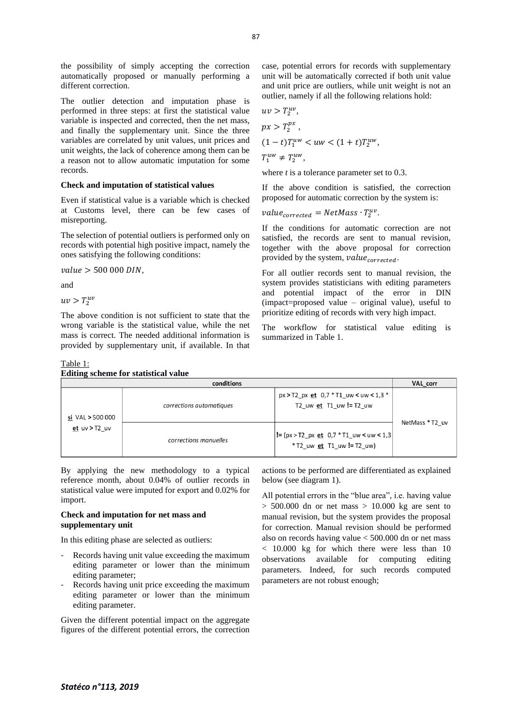the possibility of simply accepting the correction automatically proposed or manually performing a different correction.

The outlier detection and imputation phase is performed in three steps: at first the statistical value variable is inspected and corrected, then the net mass, and finally the supplementary unit. Since the three variables are correlated by unit values, unit prices and unit weights, the lack of coherence among them can be a reason not to allow automatic imputation for some records.

#### **Check and imputation of statistical values**

Even if statistical value is a variable which is checked at Customs level, there can be few cases of misreporting.

The selection of potential outliers is performed only on records with potential high positive impact, namely the ones satisfying the following conditions:

 $value > 500 000$  DIN.

and

 $uv > T_2^{uv}$ 

The above condition is not sufficient to state that the wrong variable is the statistical value, while the net mass is correct. The needed additional information is provided by supplementary unit, if available. In that

#### Table 1: **Editing scheme for statistical value**

case, potential errors for records with supplementary unit will be automatically corrected if both unit value and unit price are outliers, while unit weight is not an outlier, namely if all the following relations hold:

$$
uv > T_2^{uv},
$$
  
\n
$$
px > T_2^{px},
$$
  
\n
$$
(1-t)T_1^{uw} < uw < (1+t)T_2^{uw},
$$
  
\n
$$
T_1^{uw} \neq T_2^{uw},
$$

where *t* is a tolerance parameter set to 0.3.

If the above condition is satisfied, the correction proposed for automatic correction by the system is:

$$
value_{corrected} = NetMass \cdot T_2^{uv}.
$$

If the conditions for automatic correction are not satisfied, the records are sent to manual revision, together with the above proposal for correction provided by the system,  $value_{corrected}$ .

For all outlier records sent to manual revision, the system provides statisticians with editing parameters and potential impact of the error in DIN (impact=proposed value – original value), useful to prioritize editing of records with very high impact.

The workflow for statistical value editing is summarized in Table 1.

| Eurning scheme for statistical value |                          |                                                                           |                 |  |  |  |  |  |
|--------------------------------------|--------------------------|---------------------------------------------------------------------------|-----------------|--|--|--|--|--|
|                                      | VAL corr                 |                                                                           |                 |  |  |  |  |  |
| si VAL > 500 000                     | corrections automatiques | $px > T2$ px et 0,7 $*$ T1 uw < uw < 1,3 $*$<br>T2 uw et T1 uw != T2 uw   |                 |  |  |  |  |  |
| et uv $>$ T2 uv                      | corrections manuelles    | $ != (px > T2 px et 0.7 * T1 uw < uw < 1.3 $<br>*T2 uw et T1 uw != T2 uw) | NetMass * T2 uv |  |  |  |  |  |

By applying the new methodology to a typical reference month, about 0.04% of outlier records in statistical value were imputed for export and 0.02% for import.

### **Check and imputation for net mass and supplementary unit**

In this editing phase are selected as outliers:

- Records having unit value exceeding the maximum editing parameter or lower than the minimum editing parameter;
- Records having unit price exceeding the maximum editing parameter or lower than the minimum editing parameter.

Given the different potential impact on the aggregate figures of the different potential errors, the correction

actions to be performed are differentiated as explained below (see diagram 1).

All potential errors in the "blue area", i.e. having value  $> 500.000$  dn or net mass  $> 10.000$  kg are sent to manual revision, but the system provides the proposal for correction. Manual revision should be performed also on records having value < 500.000 dn or net mass < 10.000 kg for which there were less than 10 observations available for computing editing parameters. Indeed, for such records computed parameters are not robust enough;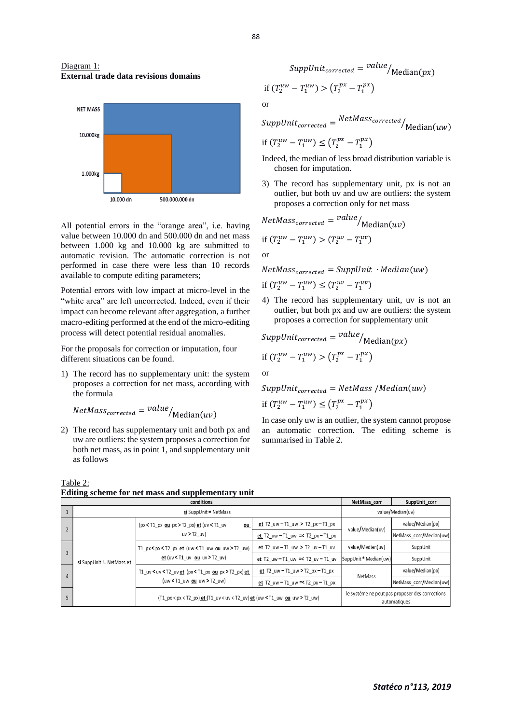#### Diagram 1: **External trade data revisions domains**



All potential errors in the "orange area", i.e. having value between 10.000 dn and 500.000 dn and net mass between 1.000 kg and 10.000 kg are submitted to automatic revision. The automatic correction is not performed in case there were less than 10 records available to compute editing parameters;

Potential errors with low impact at micro-level in the "white area" are left uncorrected. Indeed, even if their impact can become relevant after aggregation, a further macro-editing performed at the end of the micro-editing process will detect potential residual anomalies.

For the proposals for correction or imputation, four different situations can be found.

1) The record has no supplementary unit: the system proposes a correction for net mass, according with the formula

$$
NetMass_{corrected} = value /_{Median(uv)}
$$

2) The record has supplementary unit and both px and uw are outliers: the system proposes a correction for both net mass, as in point 1, and supplementary unit as follows



or

$$
SuppUnit_{corrected} = NetMass_{corrected}/Median(uw)
$$

$$
\text{if } (T_2^{uw} - T_1^{uw}) \le \left( T_2^{px} - T_1^{px} \right)
$$

- Indeed, the median of less broad distribution variable is chosen for imputation.
- 3) The record has supplementary unit, px is not an outlier, but both uv and uw are outliers: the system proposes a correction only for net mass

*NetMass<sub>corrected</sub>* = 
$$
value / Median(uv)
$$
  
if  $(T_2^{uw} - T_1^{uw}) > (T_2^{uv} - T_1^{uv})$ 

or

 $NetMass_{corrected} = SuppUnit \cdot Median(uw)$ 

if 
$$
(T_2^{uw} - T_1^{uw}) \le (T_2^{uv} - T_1^{uv})
$$

4) The record has supplementary unit, uv is not an outlier, but both px and uw are outliers: the system proposes a correction for supplementary unit

$$
SuppUnit_{corrected} = \frac{value}{\text{Median}(px)}
$$
\n
$$
\text{if } (T_2^{uw} - T_1^{uw}) > (T_2^{px} - T_1^{px})
$$

or

 $SuppUnit_{corrected} = NetMass / Median(uw)$ 

$$
\text{if } (T_2^{uw} - T_1^{uw}) \leq \left( T_2^{px} - T_1^{px} \right)
$$

In case only uw is an outlier, the system cannot propose an automatic correction. The editing scheme is summarised in Table 2.

| conditions |                |                                 |                                                                                  |                                               | NetMass corr                                                    | SuppUnit_corr           |
|------------|----------------|---------------------------------|----------------------------------------------------------------------------------|-----------------------------------------------|-----------------------------------------------------------------|-------------------------|
|            |                |                                 | $si$ SuppUnit = NetMass                                                          | value/Median(uv)                              |                                                                 |                         |
|            |                | si SuppUnit != NetMass et       | $(px < 11 px ou px > 72 px) et (uv < 11 uv$<br>ou<br>uv > T2 uv                  | et $T2_{uw} - T1_{uw} > T2_{px} - T1_{px}$    | value/Median(uv)                                                | value/Median(px)        |
|            |                |                                 |                                                                                  | et $T2_{uw} - T1_{uw} \leq T2_{px} - T1_{px}$ |                                                                 | NetMass_corr/Median(uw) |
|            | $\overline{3}$ |                                 | T1_px < px < T2_px et (uw < T1_uw ou uw > T2_uw)<br>et(uv < T1 uv ou uv > T2 uv) | et T2 uw $-$ T1 uw $>$ T2 uv $-$ T1 uv        | value/Median(uv)                                                | SuppUnit                |
|            |                |                                 |                                                                                  | et T2 uw - T1 uw $\approx$ T2 uv - T1 uv      | SuppUnit * Median(uw)                                           | SuppUnit                |
| 4          |                |                                 | T1_uv < uv < T2_uv et (px < T1_px ou px > T2_px) et                              | <u>et</u> T2_uw - T1_uw > T2_px - T1_px       | <b>NetMass</b>                                                  | value/Median(px)        |
|            |                | (uw $\leq$ T1_uw ou uw > T2_uw) | et T2 uw - T1 uw $=$ T2 px - T1 px                                               |                                               | NetMass corr/Median(uw)                                         |                         |
|            |                |                                 | (T1_px < px < T2_px) et (T1_uv < uv < T2_uv) et (uw < T1_uw ou uw > T2_uw)       |                                               | le système ne peut pas proposer des corrections<br>automatiques |                         |
|            |                |                                 |                                                                                  |                                               |                                                                 |                         |

Table 2: **Editing scheme for net mass and supplementary unit**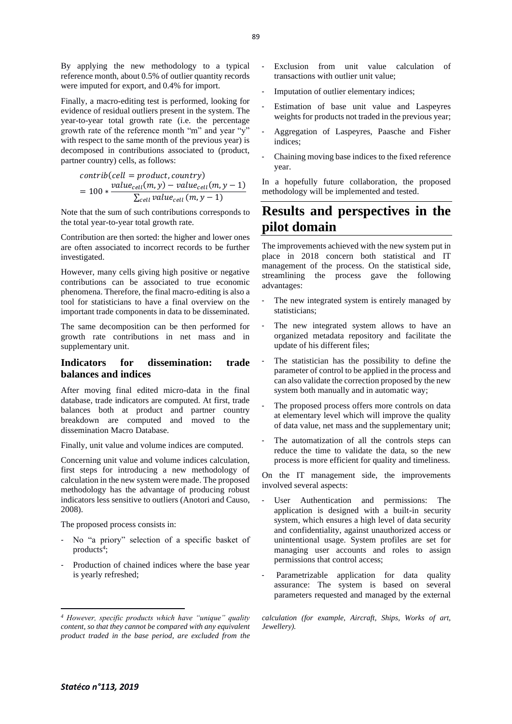By applying the new methodology to a typical reference month, about 0.5% of outlier quantity records were imputed for export, and 0.4% for import.

Finally, a macro-editing test is performed, looking for evidence of residual outliers present in the system. The year-to-year total growth rate (i.e. the percentage growth rate of the reference month "m" and year "y" with respect to the same month of the previous year) is decomposed in contributions associated to (product, partner country) cells, as follows:

$$
contrib(cell = product, country)
$$
  
= 100 \* 
$$
\frac{value_{cell}(m, y) - value_{cell}(m, y - 1)}{\sum_{cell} value_{cell}(m, y - 1)}
$$

Note that the sum of such contributions corresponds to the total year-to-year total growth rate.

Contribution are then sorted: the higher and lower ones are often associated to incorrect records to be further investigated.

However, many cells giving high positive or negative contributions can be associated to true economic phenomena. Therefore, the final macro-editing is also a tool for statisticians to have a final overview on the important trade components in data to be disseminated.

The same decomposition can be then performed for growth rate contributions in net mass and in supplementary unit.

# **Indicators for dissemination: trade balances and indices**

After moving final edited micro-data in the final database, trade indicators are computed. At first, trade balances both at product and partner country breakdown are computed and moved to the dissemination Macro Database.

Finally, unit value and volume indices are computed.

Concerning unit value and volume indices calculation, first steps for introducing a new methodology of calculation in the new system were made. The proposed methodology has the advantage of producing robust indicators less sensitive to outliers (Anotori and Causo, 2008).

The proposed process consists in:

- No "a priory" selection of a specific basket of products<sup>4</sup>;
- Production of chained indices where the base year is yearly refreshed;
- Exclusion from unit value calculation of transactions with outlier unit value;
- Imputation of outlier elementary indices;
- Estimation of base unit value and Laspeyres weights for products not traded in the previous year;
- Aggregation of Laspeyres, Paasche and Fisher indices;
- Chaining moving base indices to the fixed reference year.

In a hopefully future collaboration, the proposed methodology will be implemented and tested.

# **Results and perspectives in the pilot domain**

The improvements achieved with the new system put in place in 2018 concern both statistical and IT management of the process. On the statistical side, streamlining the process gave the following advantages:

- The new integrated system is entirely managed by statisticians;
- The new integrated system allows to have an organized metadata repository and facilitate the update of his different files;
- The statistician has the possibility to define the parameter of control to be applied in the process and can also validate the correction proposed by the new system both manually and in automatic way;
- The proposed process offers more controls on data at elementary level which will improve the quality of data value, net mass and the supplementary unit;
- The automatization of all the controls steps can reduce the time to validate the data, so the new process is more efficient for quality and timeliness.

On the IT management side, the improvements involved several aspects:

- User Authentication and permissions: The application is designed with a built-in security system, which ensures a high level of data security and confidentiality, against unauthorized access or unintentional usage. System profiles are set for managing user accounts and roles to assign permissions that control access;
- Parametrizable application for data quality assurance: The system is based on several parameters requested and managed by the external

*<sup>4</sup> However, specific products which have "unique" quality content, so that they cannot be compared with any equivalent product traded in the base period, are excluded from the* 

*calculation (for example, Aircraft, Ships, Works of art, Jewellery).*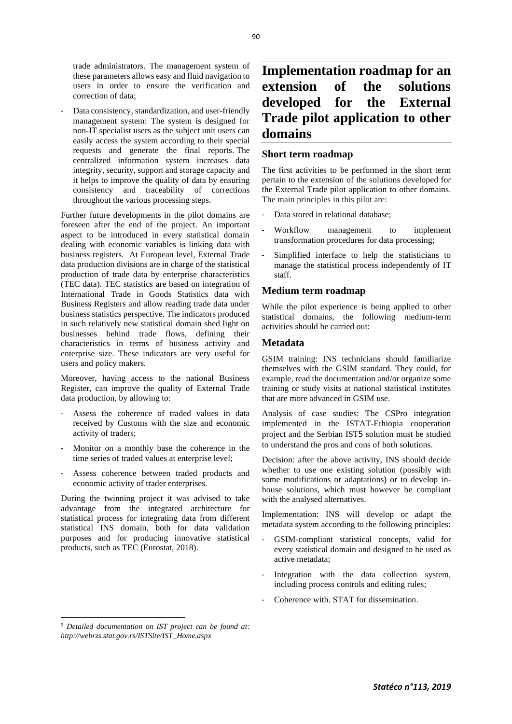trade administrators. The management system of these parameters allows easy and fluid navigation to users in order to ensure the verification and correction of data;

Data consistency, standardization, and user-friendly management system: The system is designed for non-IT specialist users as the subject unit users can easily access the system according to their special requests and generate the final reports. The centralized information system increases data integrity, security, support and storage capacity and it helps to improve the quality of data by ensuring consistency and traceability of corrections throughout the various processing steps.

Further future developments in the pilot domains are foreseen after the end of the project. An important aspect to be introduced in every statistical domain dealing with economic variables is linking data with business registers. At European level, External Trade data production divisions are in charge of the statistical production of trade data by enterprise characteristics (TEC data). TEC statistics are based on integration of International Trade in Goods Statistics data with Business Registers and allow reading trade data under business statistics perspective. The indicators produced in such relatively new statistical domain shed light on businesses behind trade flows, defining their characteristics in terms of business activity and enterprise size. These indicators are very useful for users and policy makers.

Moreover, having access to the national Business Register, can improve the quality of External Trade data production, by allowing to:

- Assess the coherence of traded values in data received by Customs with the size and economic activity of traders;
- Monitor on a monthly base the coherence in the time series of traded values at enterprise level;
- Assess coherence between traded products and economic activity of trader enterprises.

During the twinning project it was advised to take advantage from the integrated architecture for statistical process for integrating data from different statistical INS domain, both for data validation purposes and for producing innovative statistical products, such as TEC (Eurostat, 2018).

# **Implementation roadmap for an extension of the solutions developed for the External Trade pilot application to other domains**

# **Short term roadmap**

The first activities to be performed in the short term pertain to the extension of the solutions developed for the External Trade pilot application to other domains. The main principles in this pilot are:

- Data stored in relational database:
- Workflow management to implement transformation procedures for data processing;
- Simplified interface to help the statisticians to manage the statistical process independently of IT staff.

# **Medium term roadmap**

While the pilot experience is being applied to other statistical domains, the following medium-term activities should be carried out:

## **Metadata**

GSIM training: INS technicians should familiarize themselves with the GSIM standard. They could, for example, read the documentation and/or organize some training or study visits at national statistical institutes that are more advanced in GSIM use.

Analysis of case studies: The CSPro integration implemented in the ISTAT-Ethiopia cooperation project and the Serbian IST5 solution must be studied to understand the pros and cons of both solutions.

Decision: after the above activity, INS should decide whether to use one existing solution (possibly with some modifications or adaptations) or to develop inhouse solutions, which must however be compliant with the analysed alternatives.

Implementation: INS will develop or adapt the metadata system according to the following principles:

- GSIM-compliant statistical concepts, valid for every statistical domain and designed to be used as active metadata;
- Integration with the data collection system, including process controls and editing rules;
- Coherence with. STAT for dissemination.

*<sup>5</sup> Detailed documentation on IST project can be found at: http://webrzs.stat.gov.rs/ISTSite/IST\_Home.aspx*